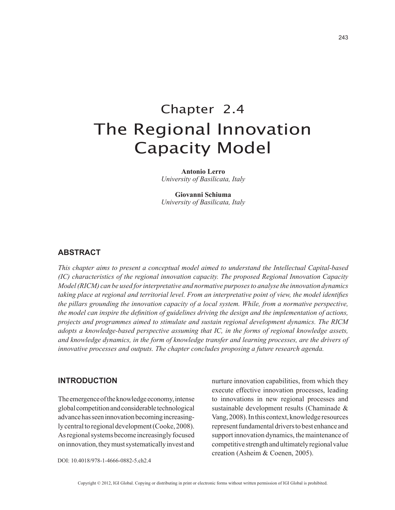# Chapter 2.4 The Regional Innovation Capacity Model

**Antonio Lerro** *University of Basilicata, Italy*

**Giovanni Schiuma** *University of Basilicata, Italy*

## **ABSTRACT**

*This chapter aims to present a conceptual model aimed to understand the Intellectual Capital-based (IC) characteristics of the regional innovation capacity. The proposed Regional Innovation Capacity Model (RICM) can be used for interpretative and normative purposes to analyse the innovation dynamics taking place at regional and territorial level. From an interpretative point of view, the model identifies the pillars grounding the innovation capacity of a local system. While, from a normative perspective, the model can inspire the definition of guidelines driving the design and the implementation of actions, projects and programmes aimed to stimulate and sustain regional development dynamics. The RICM adopts a knowledge-based perspective assuming that IC, in the forms of regional knowledge assets, and knowledge dynamics, in the form of knowledge transfer and learning processes, are the drivers of innovative processes and outputs. The chapter concludes proposing a future research agenda.*

### **INTRODUCTION**

The emergence of the knowledge economy, intense global competition and considerable technological advance has seen innovation becoming increasingly central to regional development (Cooke, 2008). As regional systems become increasingly focused on innovation, they must systematically invest and nurture innovation capabilities, from which they execute effective innovation processes, leading to innovations in new regional processes and sustainable development results (Chaminade & Vang, 2008). In this context, knowledge resources represent fundamental drivers to best enhance and support innovation dynamics, the maintenance of competitive strength and ultimately regional value creation (Asheim & Coenen, 2005).

DOI: 10.4018/978-1-4666-0882-5.ch2.4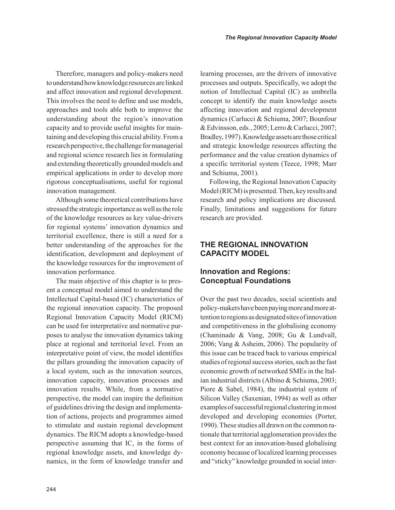Therefore, managers and policy-makers need to understand how knowledge resources are linked and affect innovation and regional development. This involves the need to define and use models, approaches and tools able both to improve the understanding about the region's innovation capacity and to provide useful insights for maintaining and developing this crucial ability. From a research perspective, the challenge for managerial and regional science research lies in formulating and extending theoretically grounded models and empirical applications in order to develop more rigorous conceptualisations, useful for regional innovation management.

Although some theoretical contributions have stressed the strategic importance as well as the role of the knowledge resources as key value-drivers for regional systems' innovation dynamics and territorial excellence, there is still a need for a better understanding of the approaches for the identification, development and deployment of the knowledge resources for the improvement of innovation performance.

The main objective of this chapter is to present a conceptual model aimed to understand the Intellectual Capital-based (IC) characteristics of the regional innovation capacity. The proposed Regional Innovation Capacity Model (RICM) can be used for interpretative and normative purposes to analyse the innovation dynamics taking place at regional and territorial level. From an interpretative point of view, the model identifies the pillars grounding the innovation capacity of a local system, such as the innovation sources, innovation capacity, innovation processes and innovation results. While, from a normative perspective, the model can inspire the definition of guidelines driving the design and implementation of actions, projects and programmes aimed to stimulate and sustain regional development dynamics. The RICM adopts a knowledge-based perspective assuming that IC, in the forms of regional knowledge assets, and knowledge dynamics, in the form of knowledge transfer and learning processes, are the drivers of innovative processes and outputs. Specifically, we adopt the notion of Intellectual Capital (IC) as umbrella concept to identify the main knowledge assets affecting innovation and regional development dynamics (Carlucci & Schiuma, 2007; Bounfour & Edvinsson, eds., 2005; Lerro & Carlucci, 2007; Bradley, 1997). Knowledge assets are those critical and strategic knowledge resources affecting the performance and the value creation dynamics of a specific territorial system (Teece, 1998; Marr and Schiuma, 2001).

Following, the Regional Innovation Capacity Model (RICM) is presented. Then, key results and research and policy implications are discussed. Finally, limitations and suggestions for future research are provided.

## **THE REGIONAL INNOVATION CAPACITY MODEL**

# **Innovation and Regions: Conceptual Foundations**

Over the past two decades, social scientists and policy-makers have been paying more and more attention to regions as designated sites of innovation and competitiveness in the globalising economy (Chaminade & Vang, 2008; Gu & Lundvall, 2006; Vang & Asheim, 2006). The popularity of this issue can be traced back to various empirical studies of regional success stories, such as the fast economic growth of networked SMEs in the Italian industrial districts (Albino & Schiuma, 2003; Piore & Sabel, 1984), the industrial system of Silicon Valley (Saxenian, 1994) as well as other examples of successful regional clustering in most developed and developing economies (Porter, 1990). These studies all drawn on the common rationale that territorial agglomeration provides the best context for an innovation-based globalising economy because of localized learning processes and "sticky" knowledge grounded in social inter